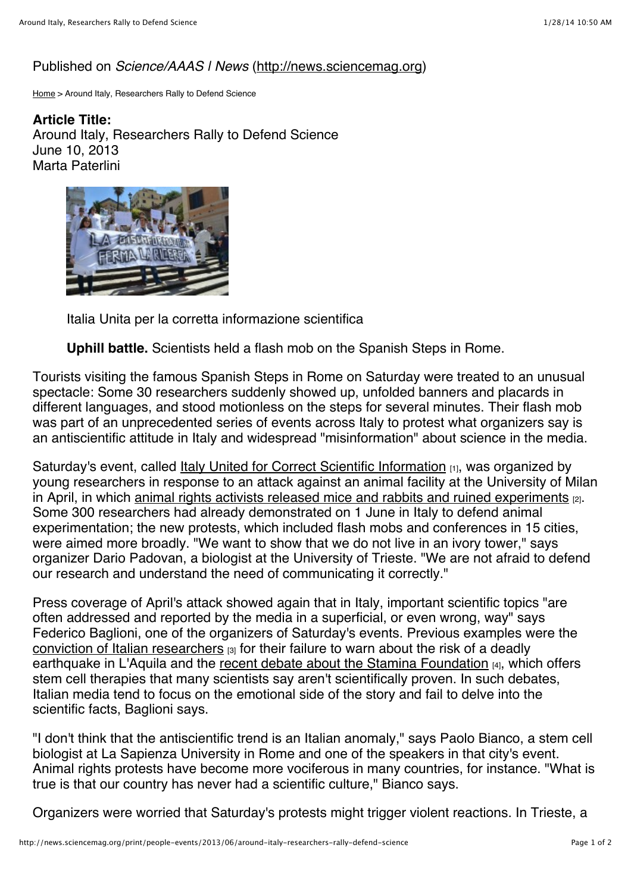## Published on *Science/AAAS | News* [\(http://news.sciencemag.org](http://news.sciencemag.org/))

[Home](http://news.sciencemag.org/) > Around Italy, Researchers Rally to Defend Science

**Article Title:**  Around Italy, Researchers Rally to Defend Science June 10, 2013 Marta Paterlini



Italia Unita per la corretta informazione scientifica

**Uphill battle.** Scientists held a flash mob on the Spanish Steps in Rome.

Tourists visiting the famous Spanish Steps in Rome on Saturday were treated to an unusual spectacle: Some 30 researchers suddenly showed up, unfolded banners and placards in different languages, and stood motionless on the steps for several minutes. Their flash mob was part of an unprecedented series of events across Italy to protest what organizers say is an antiscientific attitude in Italy and widespread "misinformation" about science in the media.

Saturday's event, called *Italy United for Correct Scientific Information* [1], was organized by young researchers in response to an attack against an animal facility at the University of Milan in April, in which [animal rights activists released mice and rabbits and ruined experiments](http://www.sciencemag.org/content/340/6131/412.2.summary) [2]. Some 300 researchers had already demonstrated on 1 June in Italy to defend animal experimentation; the new protests, which included flash mobs and conferences in 15 cities, were aimed more broadly. "We want to show that we do not live in an ivory tower," says organizer Dario Padovan, a biologist at the University of Trieste. "We are not afraid to defend our research and understand the need of communicating it correctly."

Press coverage of April's attack showed again that in Italy, important scientific topics "are often addressed and reported by the media in a superficial, or even wrong, way" says Federico Baglioni, one of the organizers of Saturday's events. Previous examples were the [conviction of Italian researchers](http://www.sciencemag.org/content/338/6106/451) [3] for their failure to warn about the risk of a deadly earthquake in L'Aquila and the [recent debate about the Stamina Foundation](http://www.sciencemag.org/content/340/6136/1028.summary) [4], which offers stem cell therapies that many scientists say aren't scientifically proven. In such debates, Italian media tend to focus on the emotional side of the story and fail to delve into the scientific facts, Baglioni says.

"I don't think that the antiscientific trend is an Italian anomaly," says Paolo Bianco, a stem cell biologist at La Sapienza University in Rome and one of the speakers in that city's event. Animal rights protests have become more vociferous in many countries, for instance. "What is true is that our country has never had a scientific culture," Bianco says.

Organizers were worried that Saturday's protests might trigger violent reactions. In Trieste, a